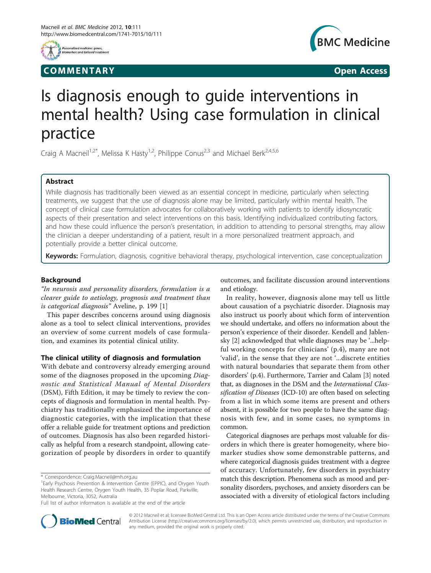

## **COMMENTARY** COMMENTARY **COMMENTARY**



# Is diagnosis enough to guide interventions in mental health? Using case formulation in clinical practice

Craig A Macneil<sup>1,2\*</sup>, Melissa K Hasty<sup>1,2</sup>, Philippe Conus<sup>2,3</sup> and Michael Berk<sup>2,4,5,6</sup>

## Abstract

While diagnosis has traditionally been viewed as an essential concept in medicine, particularly when selecting treatments, we suggest that the use of diagnosis alone may be limited, particularly within mental health. The concept of clinical case formulation advocates for collaboratively working with patients to identify idiosyncratic aspects of their presentation and select interventions on this basis. Identifying individualized contributing factors, and how these could influence the person's presentation, in addition to attending to personal strengths, may allow the clinician a deeper understanding of a patient, result in a more personalized treatment approach, and potentially provide a better clinical outcome.

Keywords: Formulation, diagnosis, cognitive behavioral therapy, psychological intervention, case conceptualization

## Background

"In neurosis and personality disorders, formulation is a clearer guide to aetiology, prognosis and treatment than is categorical diagnosis" Aveline, p. 199 [[1\]](#page-2-0)

This paper describes concerns around using diagnosis alone as a tool to select clinical interventions, provides an overview of some current models of case formulation, and examines its potential clinical utility.

## The clinical utility of diagnosis and formulation

With debate and controversy already emerging around some of the diagnoses proposed in the upcoming Diagnostic and Statistical Manual of Mental Disorders (DSM), Fifth Edition, it may be timely to review the concepts of diagnosis and formulation in mental health. Psychiatry has traditionally emphasized the importance of diagnostic categories, with the implication that these offer a reliable guide for treatment options and prediction of outcomes. Diagnosis has also been regarded historically as helpful from a research standpoint, allowing categorization of people by disorders in order to quantify

outcomes, and facilitate discussion around interventions and etiology.

In reality, however, diagnosis alone may tell us little about causation of a psychiatric disorder. Diagnosis may also instruct us poorly about which form of intervention we should undertake, and offers no information about the person's experience of their disorder. Kendell and Jablensky [\[2](#page-2-0)] acknowledged that while diagnoses may be '...helpful working concepts for clinicians' (p.4), many are not 'valid', in the sense that they are not '...discrete entities with natural boundaries that separate them from other disorders' (p.4). Furthermore, Tarrier and Calam [\[3\]](#page-2-0) noted that, as diagnoses in the DSM and the International Classification of Diseases (ICD-10) are often based on selecting from a list in which some items are present and others absent, it is possible for two people to have the same diagnosis with few, and in some cases, no symptoms in common.

Categorical diagnoses are perhaps most valuable for disorders in which there is greater homogeneity, where biomarker studies show some demonstrable patterns, and where categorical diagnosis guides treatment with a degree of accuracy. Unfortunately, few disorders in psychiatry match this description. Phenomena such as mood and personality disorders, psychoses, and anxiety disorders can be associated with a diversity of etiological factors including



© 2012 Macneil et al; licensee BioMed Central Ltd. This is an Open Access article distributed under the terms of the Creative Commons Attribution License [\(http://creativecommons.org/licenses/by/2.0](http://creativecommons.org/licenses/by/2.0)), which permits unrestricted use, distribution, and reproduction in any medium, provided the original work is properly cited.

<sup>\*</sup> Correspondence: [Craig.Macneil@mh.org.au](mailto:Craig.Macneil@mh.org.au)

<sup>&</sup>lt;sup>1</sup>Early Psychosis Prevention & Intervention Centre (EPPIC), and Orygen Youth Health Research Centre, Orygen Youth Health, 35 Poplar Road, Parkville, Melbourne, Victoria, 3052, Australia

Full list of author information is available at the end of the article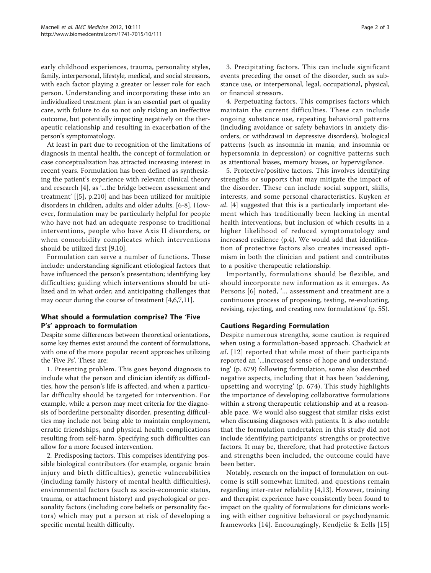early childhood experiences, trauma, personality styles, family, interpersonal, lifestyle, medical, and social stressors, with each factor playing a greater or lesser role for each person. Understanding and incorporating these into an individualized treatment plan is an essential part of quality care, with failure to do so not only risking an ineffective outcome, but potentially impacting negatively on the therapeutic relationship and resulting in exacerbation of the person's symptomatology.

At least in part due to recognition of the limitations of diagnosis in mental health, the concept of formulation or case conceptualization has attracted increasing interest in recent years. Formulation has been defined as synthesizing the patient's experience with relevant clinical theory and research [[4](#page-2-0)], as '...the bridge between assessment and treatment' [[[5\]](#page-2-0), p.210] and has been utilized for multiple disorders in children, adults and older adults. [\[6](#page-2-0)-[8\]](#page-2-0). However, formulation may be particularly helpful for people who have not had an adequate response to traditional interventions, people who have Axis II disorders, or when comorbidity complicates which interventions should be utilized first [\[9,10](#page-2-0)].

Formulation can serve a number of functions. These include: understanding significant etiological factors that have influenced the person's presentation; identifying key difficulties; guiding which interventions should be utilized and in what order; and anticipating challenges that may occur during the course of treatment [\[4,6,7,11](#page-2-0)].

## What should a formulation comprise? The 'Five P's' approach to formulation

Despite some differences between theoretical orientations, some key themes exist around the content of formulations, with one of the more popular recent approaches utilizing the 'Five Ps'. These are:

1. Presenting problem. This goes beyond diagnosis to include what the person and clinician identify as difficulties, how the person's life is affected, and when a particular difficulty should be targeted for intervention. For example, while a person may meet criteria for the diagnosis of borderline personality disorder, presenting difficulties may include not being able to maintain employment, erratic friendships, and physical health complications resulting from self-harm. Specifying such difficulties can allow for a more focused intervention.

2. Predisposing factors. This comprises identifying possible biological contributors (for example, organic brain injury and birth difficulties), genetic vulnerabilities (including family history of mental health difficulties), environmental factors (such as socio-economic status, trauma, or attachment history) and psychological or personality factors (including core beliefs or personality factors) which may put a person at risk of developing a specific mental health difficulty.

3. Precipitating factors. This can include significant events preceding the onset of the disorder, such as substance use, or interpersonal, legal, occupational, physical, or financial stressors.

4. Perpetuating factors. This comprises factors which maintain the current difficulties. These can include ongoing substance use, repeating behavioral patterns (including avoidance or safety behaviors in anxiety disorders, or withdrawal in depressive disorders), biological patterns (such as insomnia in mania, and insomnia or hypersomnia in depression) or cognitive patterns such as attentional biases, memory biases, or hypervigilance.

5. Protective/positive factors. This involves identifying strengths or supports that may mitigate the impact of the disorder. These can include social support, skills, interests, and some personal characteristics. Kuyken et al. [\[4](#page-2-0)] suggested that this is a particularly important element which has traditionally been lacking in mental health interventions, but inclusion of which results in a higher likelihood of reduced symptomatology and increased resilience (p.4). We would add that identification of protective factors also creates increased optimism in both the clinician and patient and contributes to a positive therapeutic relationship.

Importantly, formulations should be flexible, and should incorporate new information as it emerges. As Persons [\[6\]](#page-2-0) noted, '... assessment and treatment are a continuous process of proposing, testing, re-evaluating, revising, rejecting, and creating new formulations' (p. 55).

## Cautions Regarding Formulation

Despite numerous strengths, some caution is required when using a formulation-based approach. Chadwick et al. [\[12\]](#page-2-0) reported that while most of their participants reported an '...increased sense of hope and understanding' (p. 679) following formulation, some also described negative aspects, including that it has been 'saddening, upsetting and worrying' (p. 674). This study highlights the importance of developing collaborative formulations within a strong therapeutic relationship and at a reasonable pace. We would also suggest that similar risks exist when discussing diagnoses with patients. It is also notable that the formulation undertaken in this study did not include identifying participants' strengths or protective factors. It may be, therefore, that had protective factors and strengths been included, the outcome could have been better.

Notably, research on the impact of formulation on outcome is still somewhat limited, and questions remain regarding inter-rater reliability [\[4,13](#page-2-0)]. However, training and therapist experience have consistently been found to impact on the quality of formulations for clinicians working with either cognitive behavioral or psychodynamic frameworks [[14](#page-2-0)]. Encouragingly, Kendjelic & Eells [[15](#page-2-0)]